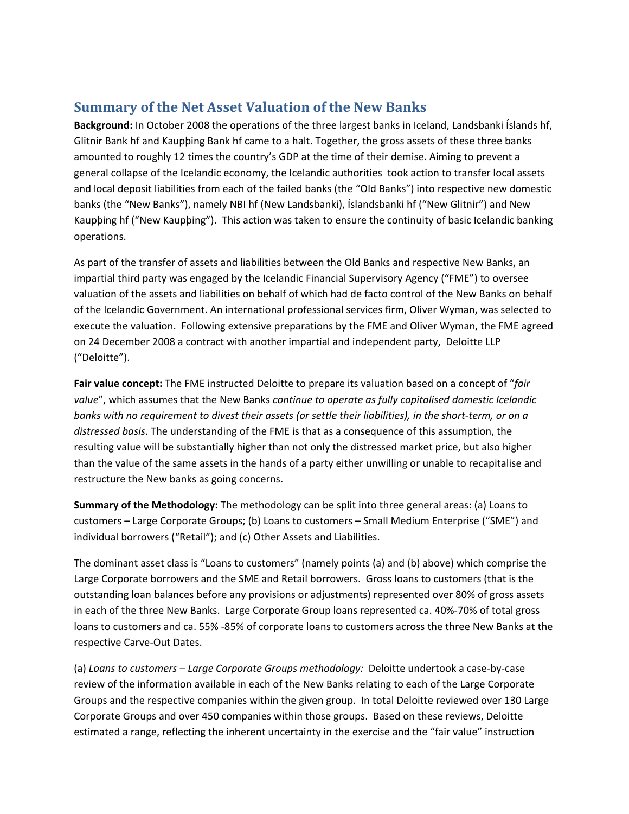## **Summary of the Net Asset Valuation of the New Banks**

**Background:** In October 2008 the operations of the three largest banks in Iceland, Landsbanki Íslands hf, Glitnir Bank hf and Kaupþing Bank hf came to a halt. Together, the gross assets of these three banks amounted to roughly 12 times the country's GDP at the time of their demise. Aiming to prevent a general collapse of the Icelandic economy, the Icelandic authorities took action to transfer local assets and local deposit liabilities from each of the failed banks (the "Old Banks") into respective new domestic banks (the "New Banks"), namely NBI hf (New Landsbanki), Íslandsbanki hf ("New Glitnir") and New Kaupþing hf ("New Kaupþing"). This action was taken to ensure the continuity of basic Icelandic banking operations.

As part of the transfer of assets and liabilities between the Old Banks and respective New Banks, an impartial third party was engaged by the Icelandic Financial Supervisory Agency ("FME") to oversee valuation of the assets and liabilities on behalf of which had de facto control of the New Banks on behalf of the Icelandic Government. An international professional services firm, Oliver Wyman, was selected to execute the valuation. Following extensive preparations by the FME and Oliver Wyman, the FME agreed on 24 December 2008 a contract with another impartial and independent party, Deloitte LLP ("Deloitte").

**Fair value concept:** The FME instructed Deloitte to prepare its valuation based on a concept of "*fair value*", which assumes that the New Banks *continue to operate as fully capitalised domestic Icelandic* banks with no requirement to divest their assets (or settle their liabilities), in the short-term, or on a *distressed basis*. The understanding of the FME is that as a consequence of this assumption, the resulting value will be substantially higher than not only the distressed market price, but also higher than the value of the same assets in the hands of a party either unwilling or unable to recapitalise and restructure the New banks as going concerns.

**Summary of the Methodology:** The methodology can be split into three general areas: (a) Loans to customers – Large Corporate Groups; (b) Loans to customers – Small Medium Enterprise ("SME") and individual borrowers ("Retail"); and (c) Other Assets and Liabilities.

The dominant asset class is "Loans to customers" (namely points (a) and (b) above) which comprise the Large Corporate borrowers and the SME and Retail borrowers. Gross loans to customers (that is the outstanding loan balances before any provisions or adjustments) represented over 80% of gross assets in each of the three New Banks. Large Corporate Group loans represented ca. 40%‐70% of total gross loans to customers and ca. 55% ‐85% of corporate loans to customers across the three New Banks at the respective Carve‐Out Dates.

(a) *Loans to customers – Large Corporate Groups methodology:* Deloitte undertook a case‐by‐case review of the information available in each of the New Banks relating to each of the Large Corporate Groups and the respective companies within the given group. In total Deloitte reviewed over 130 Large Corporate Groups and over 450 companies within those groups. Based on these reviews, Deloitte estimated a range, reflecting the inherent uncertainty in the exercise and the "fair value" instruction